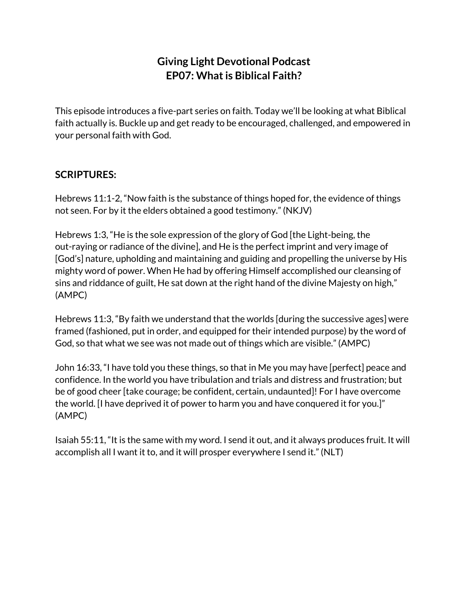## **Giving Light Devotional Podcast EP07: Whatis Biblical Faith?**

This episode introduces a five-part series on faith. Today we'll be looking at what Biblical faith actually is. Buckle up and get ready to be encouraged, challenged, and empowered in your personal faith with God.

## **SCRIPTURES:**

Hebrews 11:1-2, "Now faith is the substance of things hoped for, the evidence of things not seen. For by it the elders obtained a good testimony." (NKJV)

Hebrews 1:3, "He is the sole expression of the glory of God [the Light-being, the out-raying or radiance of the divine], and He is the perfect imprint and very image of [God's] nature, upholding and maintaining and guiding and propelling the universe by His mighty word of power. When He had by offering Himself accomplished our cleansing of sins and riddance of guilt, He sat down at the right hand of the divine Majesty on high," (AMPC)

Hebrews 11:3, "By faith we understand that the worlds [during the successive ages] were framed (fashioned, put in order, and equipped for their intended purpose) by the word of God, so that what we see was not made out of things which are visible." (AMPC)

John 16:33, "I have told you these things, so that in Me you may have [perfect] peace and confidence. In the world you have tribulation and trials and distress and frustration; but be of good cheer [take courage; be confident, certain, undaunted]! For I have overcome the world. [I have deprived it of power to harm you and have conquered it for you.]" (AMPC)

Isaiah 55:11, "It is the same with my word. I send it out, and it always produces fruit. It will accomplish all I want it to, and it will prosper everywhere I send it." (NLT)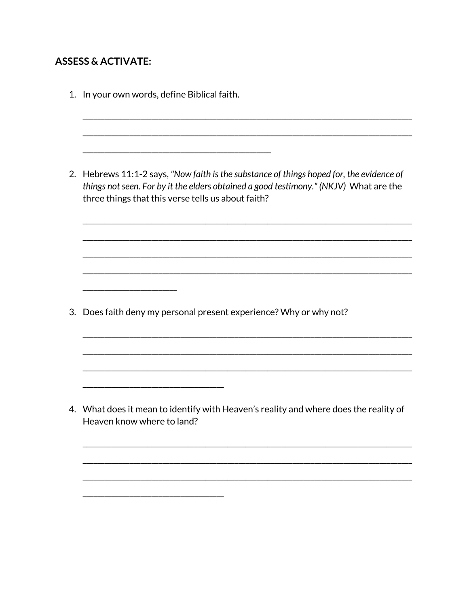## **ASSESS & ACTIVATE:**

|    | 1. In your own words, define Biblical faith.                                                                                                                                                                                            |
|----|-----------------------------------------------------------------------------------------------------------------------------------------------------------------------------------------------------------------------------------------|
|    |                                                                                                                                                                                                                                         |
|    | 2. Hebrews 11:1-2 says, "Now faith is the substance of things hoped for, the evidence of<br>things not seen. For by it the elders obtained a good testimony." (NKJV) What are the<br>three things that this verse tells us about faith? |
|    |                                                                                                                                                                                                                                         |
|    |                                                                                                                                                                                                                                         |
|    |                                                                                                                                                                                                                                         |
| 3. | Does faith deny my personal present experience? Why or why not?                                                                                                                                                                         |
|    |                                                                                                                                                                                                                                         |
|    |                                                                                                                                                                                                                                         |
|    | 4. What does it mean to identify with Heaven's reality and where does the reality of<br>Heaven know where to land?                                                                                                                      |
|    |                                                                                                                                                                                                                                         |
|    |                                                                                                                                                                                                                                         |
|    |                                                                                                                                                                                                                                         |